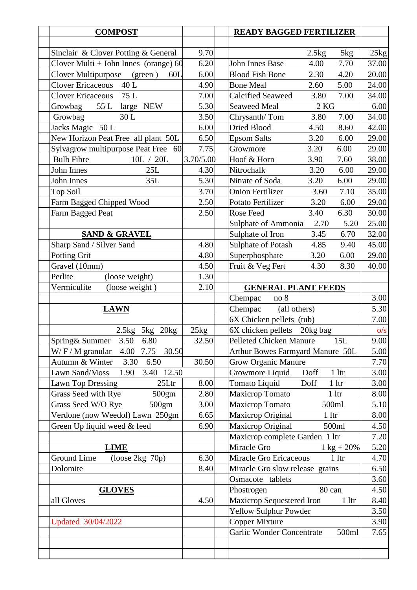| <b>COMPOST</b>                               |           | <b>READY BAGGED FERTILIZER</b>                     |       |
|----------------------------------------------|-----------|----------------------------------------------------|-------|
|                                              |           |                                                    |       |
| Sinclair & Clover Potting & General          | 9.70      | 2.5kg<br>5kg                                       | 25kg  |
| Clover Multi + John Innes (orange) $60$      | 6.20      | John Innes Base<br>7.70<br>4.00                    | 37.00 |
| <b>Clover Multipurpose</b><br>(green)<br>60L | 6.00      | 2.30<br><b>Blood Fish Bone</b><br>4.20             | 20.00 |
| <b>Clover Ericaceous</b><br>40 L             | 4.90      | <b>Bone Meal</b><br>2.60<br>5.00                   | 24.00 |
| 75 L<br><b>Clover Ericaceous</b>             | 7.00      | <b>Calcified Seaweed</b><br>3.80<br>7.00           | 34.00 |
| Growbag<br>55 L large<br><b>NEW</b>          | 5.30      | <b>Seaweed Meal</b><br>2KG                         | 6.00  |
| Growbag<br>30L                               | 3.50      | 3.80<br>7.00<br>Chrysanth/Tom                      | 34.00 |
| Jacks Magic 50 L                             | 6.00      | Dried Blood<br>4.50<br>8.60                        | 42.00 |
| New Horizon Peat Free all plant 50L          | 6.50      | <b>Epsom Salts</b><br>3.20<br>6.00                 | 29.00 |
| Sylvagrow multipurpose Peat Free 60          | 7.75      | 3.20<br>6.00<br>Growmore                           | 29.00 |
| <b>Bulb Fibre</b><br>10L / 20L               | 3.70/5.00 | Hoof & Horn<br>3.90<br>7.60                        | 38.00 |
| John Innes<br>25L                            | 4.30      | 3.20<br>Nitrochalk<br>6.00                         | 29.00 |
| John Innes<br>35L                            | 5.30      | Nitrate of Soda<br>3.20<br>6.00                    | 29.00 |
| <b>Top Soil</b>                              | 3.70      | <b>Onion Fertilizer</b><br>7.10<br>3.60            | 35.00 |
| Farm Bagged Chipped Wood                     | 2.50      | Potato Fertilizer<br>3.20<br>6.00                  | 29.00 |
| Farm Bagged Peat                             | 2.50      | 3.40<br>6.30<br>Rose Feed                          | 30.00 |
|                                              |           | 5.20<br>Sulphate of Ammonia<br>2.70                | 25.00 |
| <b>SAND &amp; GRAVEL</b>                     |           | 3.45<br>Sulphate of Iron<br>6.70                   | 32.00 |
| Sharp Sand / Silver Sand                     | 4.80      | Sulphate of Potash<br>4.85<br>9.40                 | 45.00 |
| <b>Potting Grit</b>                          | 4.80      | 3.20<br>Superphosphate<br>6.00                     | 29.00 |
| Gravel (10mm)                                | 4.50      | Fruit & Veg Fert<br>4.30<br>8.30                   | 40.00 |
| Perlite<br>(loose weight)                    | 1.30      |                                                    |       |
| Vermiculite<br>(loose weight)                | 2.10      | <b>GENERAL PLANT FEEDS</b>                         |       |
|                                              |           | Chempac<br>no 8                                    | 3.00  |
| <b>LAWN</b>                                  |           | Chempac<br>(all others)                            | 5.30  |
|                                              |           | 6X Chicken pellets (tub)                           | 7.00  |
| 2.5kg 5kg 20kg                               | 25kg      | 6X chicken pellets 20kg bag                        | O/S   |
| Spring& Summer<br>3.50<br>6.80               | 32.50     | Pelleted Chicken Manure<br>15L                     | 9.00  |
| 30.50<br>7.75<br>$W/F/M$ granular<br>4.00    |           | Arthur Bowes Farmyard Manure 50L                   | 5.00  |
| Autumn & Winter<br>3.30<br>6.50              | 30.50     | Grow Organic Manure                                | 7.70  |
| 3.40 12.50<br>Lawn Sand/Moss<br>1.90         |           | Growmore Liquid<br>Doff<br>1 <sup>1</sup>          | 3.00  |
| Lawn Top Dressing<br>25Ltr                   | 8.00      | Tomato Liquid<br>Doff<br>1 <sup>lt</sup>           | 3.00  |
| Grass Seed with Rye<br>500gm                 | 2.80      | Maxicrop Tomato<br>1 <sup>1</sup>                  | 8.00  |
| Grass Seed W/O Rye<br>500gm                  | 3.00      | Maxicrop Tomato<br>500ml                           | 5.10  |
| Verdone (now Weedol) Lawn 250gm              | 6.65      | Maxicrop Original<br>1 <sup>1</sup>                | 8.00  |
| Green Up liquid weed & feed                  | 6.90      | Maxicrop Original<br>500ml                         | 4.50  |
|                                              |           | Maxicrop complete Garden 1 ltr                     | 7.20  |
| <b>LIME</b>                                  |           | Miracle Gro<br>$1 \text{ kg} + 20\%$               | 5.20  |
| Ground Lime<br>$\frac{1}{2}$ (loose 2kg 70p) | 6.30      | Miracle Gro Ericaceous<br>1 <sup>lt</sup>          | 4.70  |
| Dolomite                                     | 8.40      | Miracle Gro slow release grains                    | 6.50  |
|                                              |           | Osmacote tablets                                   | 3.60  |
| <b>GLOVES</b>                                |           | 80 can<br>Phostrogen                               | 4.50  |
| all Gloves                                   | 4.50      | <b>Maxicrop Sequestered Iron</b><br>1 <sup>1</sup> | 8.40  |
|                                              |           | Yellow Sulphur Powder                              | 3.50  |
| Updated 30/04/2022                           |           | Copper Mixture                                     | 3.90  |
|                                              |           | <b>Garlic Wonder Concentrate</b><br>500ml          | 7.65  |
|                                              |           |                                                    |       |
|                                              |           |                                                    |       |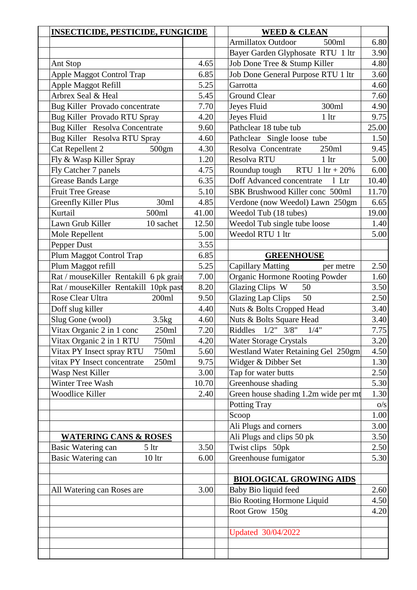| <b>INSECTICIDE, PESTICIDE, FUNGICIDE</b> |       | <b>WEED &amp; CLEAN</b>               |        |
|------------------------------------------|-------|---------------------------------------|--------|
|                                          |       | <b>Armillatox Outdoor</b><br>500ml    | 6.80   |
|                                          |       | Bayer Garden Glyphosate RTU 1 ltr     | 3.90   |
| Ant Stop                                 | 4.65  | Job Done Tree & Stump Killer          | 4.80   |
| Apple Maggot Control Trap                | 6.85  | Job Done General Purpose RTU 1 ltr    | 3.60   |
| Apple Maggot Refill                      | 5.25  | Garrotta                              | 4.60   |
| Arbrex Seal & Heal                       | 5.45  | <b>Ground Clear</b>                   | 7.60   |
| Bug Killer Provado concentrate           | 7.70  | Jeyes Fluid<br>300ml                  | 4.90   |
| Bug Killer Provado RTU Spray             | 4.20  | 1 <sup>1</sup><br>Jeyes Fluid         | 9.75   |
| Bug Killer Resolva Concentrate           | 9.60  | Pathclear 18 tube tub                 | 25.00  |
| Bug Killer Resolva RTU Spray             | 4.60  | Pathclear Single loose tube           | 1.50   |
| Cat Repellent 2<br>500gm                 | 4.30  | Resolva Concentrate<br>250ml          | 9.45   |
| Fly & Wasp Killer Spray                  | 1.20  | Resolva RTU<br>1 <sup>1</sup>         | 5.00   |
| Fly Catcher 7 panels                     | 4.75  | Roundup tough $RTU$ 1 ltr + 20%       | 6.00   |
| Grease Bands Large                       | 6.35  | Doff Advanced concentrate<br>$1$ Ltr  | 10.40  |
| Fruit Tree Grease                        | 5.10  | SBK Brushwood Killer conc 500ml       | 11.70  |
| 30ml<br><b>Greenfly Killer Plus</b>      | 4.85  | Verdone (now Weedol) Lawn 250gm       | 6.65   |
| Kurtail<br>500ml                         | 41.00 | Weedol Tub (18 tubes)                 | 19.00  |
| 10 sachet<br>Lawn Grub Killer            | 12.50 | Weedol Tub single tube loose          | 1.40   |
| Mole Repellent                           | 5.00  | Weedol RTU 1 ltr                      | 5.00   |
| Pepper Dust                              | 3.55  |                                       |        |
| Plum Maggot Control Trap                 | 6.85  | <b>GREENHOUSE</b>                     |        |
| Plum Maggot refill                       | 5.25  | <b>Capillary Matting</b><br>per metre | 2.50   |
| Rat / mouseKiller Rentakill 6 pk grain   | 7.00  | Organic Hormone Rooting Powder        | 1.60   |
| Rat / mouseKiller Rentakill 10pk past    | 8.20  | Glazing Clips W<br>50                 | 3.50   |
| Rose Clear Ultra<br>200ml                | 9.50  | <b>Glazing Lap Clips</b><br>50        | 2.50   |
| Doff slug killer                         | 4.40  | Nuts & Bolts Cropped Head             | 3.40   |
| Slug Gone (wool)<br>3.5kg                | 4.60  | Nuts & Bolts Square Head              | 3.40   |
| Vitax Organic 2 in 1 conc<br>250ml       | 7.20  | Riddles $1/2$ " $3/8$ "<br>1/4"       | 7.75   |
| Vitax Organic 2 in 1 RTU<br>750ml        | 4.20  | Water Storage Crystals                | $3.20$ |
| Vitax PY Insect spray RTU<br>750ml       | 5.60  | Westland Water Retaining Gel 250gm    | 4.50   |
| vitax PY Insect concentrate<br>250ml     | 9.75  | Widger & Dibber Set                   | 1.30   |
| Wasp Nest Killer                         | 3.00  | Tap for water butts                   | 2.50   |
| Winter Tree Wash                         | 10.70 | Greenhouse shading                    | 5.30   |
| Woodlice Killer                          | 2.40  | Green house shading 1.2m wide per mt  | 1.30   |
|                                          |       | <b>Potting Tray</b>                   | O/S    |
|                                          |       | Scoop                                 | 1.00   |
|                                          |       | Ali Plugs and corners                 | 3.00   |
| <b>WATERING CANS &amp; ROSES</b>         |       | Ali Plugs and clips 50 pk             | 3.50   |
| Basic Watering can<br>5 <sup>1</sup>     | 3.50  | Twist clips 50pk                      | 2.50   |
| Basic Watering can<br>10 <sup>1</sup>    | 6.00  | Greenhouse fumigator                  | 5.30   |
|                                          |       | <b>BIOLOGICAL GROWING AIDS</b>        |        |
| All Watering can Roses are               | 3.00  | Baby Bio liquid feed                  | 2.60   |
|                                          |       | Bio Rooting Hormone Liquid            | 4.50   |
|                                          |       | Root Grow 150g                        | 4.20   |
|                                          |       |                                       |        |
|                                          |       | Updated 30/04/2022                    |        |
|                                          |       |                                       |        |
|                                          |       |                                       |        |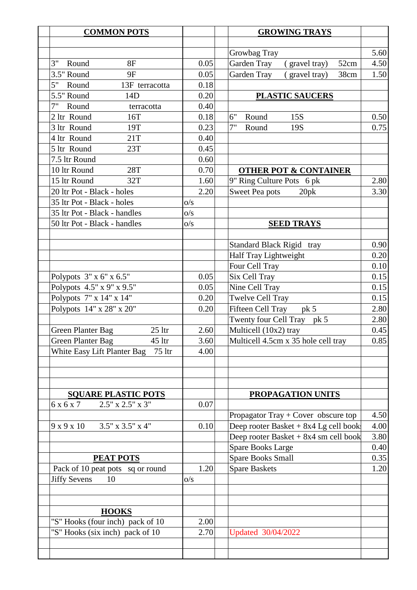| <b>COMMON POTS</b>                      |      | <b>GROWING TRAYS</b>                  |      |
|-----------------------------------------|------|---------------------------------------|------|
|                                         |      |                                       |      |
|                                         |      | Growbag Tray                          | 5.60 |
| 3"<br>Round<br>8F                       | 0.05 | Garden Tray<br>52cm<br>(gravel tray)  | 4.50 |
| 3.5" Round<br>9F                        | 0.05 | Garden Tray<br>(gravel tray)<br>38cm  | 1.50 |
| Round<br>5"<br>13F terracotta           | 0.18 |                                       |      |
| 5.5" Round<br>14D                       | 0.20 | <b>PLASTIC SAUCERS</b>                |      |
| 7"<br>Round<br>terracotta               | 0.40 |                                       |      |
| 2 ltr Round<br>16T                      | 0.18 | 6"<br>Round<br>15S                    | 0.50 |
| 3 ltr Round<br>19T                      | 0.23 | 7"<br>Round<br>19S                    | 0.75 |
| 4 ltr Round<br>21T                      | 0.40 |                                       |      |
| 5 ltr Round<br>23T                      | 0.45 |                                       |      |
| 7.5 ltr Round                           | 0.60 |                                       |      |
| 10 ltr Round<br><b>28T</b>              | 0.70 | <b>OTHER POT &amp; CONTAINER</b>      |      |
| 15 ltr Round<br>32T                     | 1.60 | 9" Ring Culture Pots 6 pk             | 2.80 |
| 20 ltr Pot - Black - holes              | 2.20 | Sweet Pea pots<br>20pk                | 3.30 |
| 35 ltr Pot - Black - holes              | O/S  |                                       |      |
| 35 ltr Pot - Black - handles            | O/S  |                                       |      |
| 50 ltr Pot - Black - handles            | O/S  | <b>SEED TRAYS</b>                     |      |
|                                         |      |                                       |      |
|                                         |      | Standard Black Rigid tray             | 0.90 |
|                                         |      | Half Tray Lightweight                 | 0.20 |
|                                         |      | Four Cell Tray                        | 0.10 |
| Polypots $3" \times 6" \times 6.5"$     | 0.05 | Six Cell Tray                         | 0.15 |
| Polypots 4.5" x 9" x 9.5"               | 0.05 | Nine Cell Tray                        | 0.15 |
| Polypots 7" x 14" x 14"                 | 0.20 | Twelve Cell Tray                      | 0.15 |
| Polypots 14" x 28" x 20"                | 0.20 | Fifteen Cell Tray<br>pk 5             | 2.80 |
|                                         |      | Twenty four Cell Tray pk 5            | 2.80 |
| $25$ ltr<br><b>Green Planter Bag</b>    | 2.60 | Multicell (10x2) tray                 | 0.45 |
| Green Planter Bag<br>$45$ ltr           | 3.60 | Multicell 4.5cm x 35 hole cell tray   | 0.85 |
| White Easy Lift Planter Bag<br>$75$ ltr | 4.00 |                                       |      |
|                                         |      |                                       |      |
|                                         |      |                                       |      |
|                                         |      |                                       |      |
| <b>SQUARE PLASTIC POTS</b>              |      | PROPAGATION UNITS                     |      |
| 6 x 6 x 7<br>$2.5"$ x $2.5"$ x $3"$     | 0.07 |                                       |      |
|                                         |      | Propagator Tray $+$ Cover obscure top | 4.50 |
| $3.5"$ x $3.5"$ x 4"<br>9x9x10          | 0.10 | Deep rooter Basket + 8x4 Lg cell book | 4.00 |
|                                         |      | Deep rooter Basket + 8x4 sm cell book | 3.80 |
|                                         |      | <b>Spare Books Large</b>              | 0.40 |
| <b>PEAT POTS</b>                        |      | <b>Spare Books Small</b>              | 0.35 |
| Pack of 10 peat pots sq or round        | 1.20 | <b>Spare Baskets</b>                  | 1.20 |
| <b>Jiffy Sevens</b><br>10               | O/S  |                                       |      |
|                                         |      |                                       |      |
|                                         |      |                                       |      |
| <b>HOOKS</b>                            |      |                                       |      |
| "S" Hooks (four inch) pack of 10        | 2.00 |                                       |      |
| "S" Hooks (six inch) pack of 10         | 2.70 | Updated 30/04/2022                    |      |
|                                         |      |                                       |      |
|                                         |      |                                       |      |